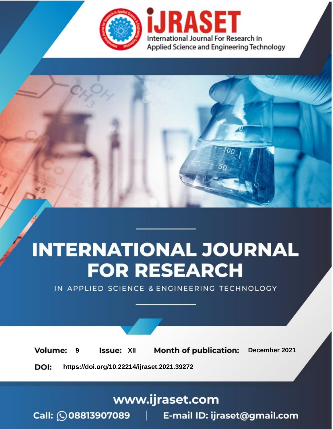

# **INTERNATIONAL JOURNAL FOR RESEARCH**

IN APPLIED SCIENCE & ENGINEERING TECHNOLOGY

**Month of publication: Volume: Issue: XII** December 2021 9 DOI: https://doi.org/10.22214/ijraset.2021.39272

www.ijraset.com

Call: 008813907089 | E-mail ID: ijraset@gmail.com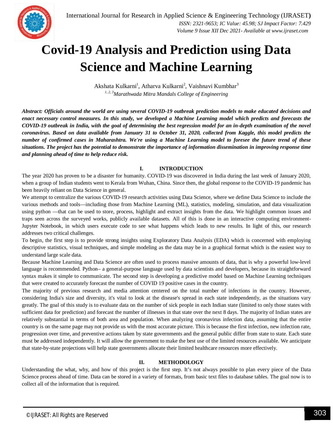

### **Covid-19 Analysis and Prediction using Data Science and Machine Learning**

Akshata Kulkarni<sup>1</sup>, Atharva Kulkarni<sup>2</sup>, Vaishnavi Kumbhar<sup>3</sup> *1, 2, 3Marathwada Mitra Mandals College of Engineering*

*Abstract: Officials around the world are using several COVID-19 outbreak prediction models to make educated decisions and enact necessary control measures. In this study, we developed a Machine Learning model which predicts and forecasts the COVID-19 outbreak in India, with the goal of determining the best regression model for an in-depth examination of the novel coronavirus. Based on data available from January 31 to October 31, 2020, collected from Kaggle, this model predicts the number of confirmed cases in Maharashtra. We're using a Machine Learning model to foresee the future trend of these situations. The project has the potential to demonstrate the importance of information dissemination in improving response time and planning ahead of time to help reduce risk.*

#### **I. INTRODUCTION**

The year 2020 has proven to be a disaster for humanity. COVID-19 was discovered in India during the last week of January 2020, when a group of Indian students went to Kerala from Wuhan, China. Since then, the global response to the COVID-19 pandemic has been heavily reliant on Data Science in general.

We attempt to centralize the various COVID-19 research activities using Data Science, where we define Data Science to include the various methods and tools—including those from Machine Learning (ML), statistics, modeling, simulation, and data visualization using python —that can be used to store, process, highlight and extract insights from the data. We highlight common issues and traps seen across the surveyed works, publicly available datasets. All of this is done in an interactive computing environment-Jupyter Notebook, in which users execute code to see what happens which leads to new results. In light of this, our research addresses two critical challenges.

To begin, the first step is to provide strong insights using Exploratory Data Analysis (EDA) which is concerned with employing descriptive statistics, visual techniques, and simple modeling as the data may be in a graphical format which is the easiest way to understand large scale data.

Because Machine Learning and Data Science are often used to process massive amounts of data, that is why a powerful low-level language is recommended. Python– a general-purpose language used by data scientists and developers, because its straightforward syntax makes it simple to communicate. The second step is developing a predictive model based on Machine Learning techniques that were created to accurately forecast the number of COVID 19 positive cases in the country.

The majority of previous research and media attention centered on the total number of infections in the country. However, considering India's size and diversity, it's vital to look at the disease's spread in each state independently, as the situations vary greatly. The goal of this study is to evaluate data on the number of sick people in each Indian state (limited to only those states with sufficient data for prediction) and forecast the number of illnesses in that state over the next 8 days. The majority of Indian states are relatively substantial in terms of both area and population. When analyzing coronavirus infection data, assuming that the entire country is on the same page may not provide us with the most accurate picture. This is because the first infection, new infection rate, progression over time, and preventive actions taken by state governments and the general public differ from state to state. Each state must be addressed independently. It will allow the government to make the best use of the limited resources available. We anticipate that state-by-state projections will help state governments allocate their limited healthcare resources more effectively.

#### **II. METHODOLOGY**

Understanding the what, why, and how of this project is the first step. It's not always possible to plan every piece of the Data Science process ahead of time. Data can be stored in a variety of formats, from basic text files to database tables. The goal now is to collect all of the information that is required.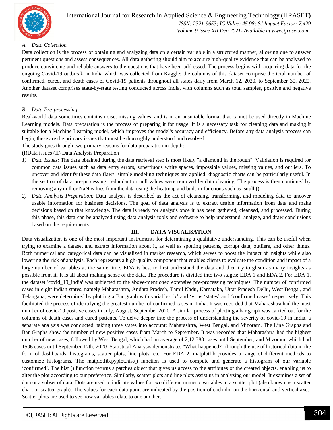

#### International Journal for Research in Applied Science & Engineering Technology (IJRASET**)**  *ISSN: 2321-9653; IC Value: 45.98; SJ Impact Factor: 7.429*

 *Volume 9 Issue XII Dec 2021- Available at www.ijraset.com*

#### *A. Data Collection*

Data collection is the process of obtaining and analyzing data on a certain variable in a structured manner, allowing one to answer pertinent questions and assess consequences. All data gathering should aim to acquire high-quality evidence that can be analyzed to produce convincing and reliable answers to the questions that have been addressed. The process begins with acquiring data for the ongoing Covid-19 outbreak in India which was collected from Kaggle; the columns of this dataset comprise the total number of confirmed, cured, and death cases of Covid-19 patients throughout all states daily from March 12, 2020, to September 30, 2020. Another dataset comprises state-by-state testing conducted across India, with columns such as total samples, positive and negative results.

#### *B. Data Pre-processing*

Real-world data sometimes contains noise, missing values, and is in an unsuitable format that cannot be used directly in Machine Learning models. Data preparation is the process of preparing it for usage. It is a necessary task for cleaning data and making it suitable for a Machine Learning model, which improves the model's accuracy and efficiency. Before any data analysis process can begin, these are the primary issues that must be thoroughly understood and resolved.

The study goes through two primary reasons for data preparation in-depth:

(I)Data issues (II) Data Analysis Preparation

- *1) Data Issues:* The data obtained during the data retrieval step is most likely "a diamond in the rough". Validation is required for common data issues such as data entry errors, superfluous white spaces, impossible values, missing values, and outliers. To uncover and identify these data flaws, simple modeling techniques are applied; diagnostic charts can be particularly useful. In the section of data pre-processing, redundant or null values were removed by data cleaning. The process is then continued by removing any null or NaN values from the data using the heatmap and built-in functions such as isnull ().
- *2) Data Analysis Preparation:* Data analysis is described as the act of cleansing, transforming, and modeling data to uncover usable information for business decisions. The goal of data analysis is to extract usable information from data and make decisions based on that knowledge. The data is ready for analysis once it has been gathered, cleansed, and processed. During this phase, this data can be analyzed using data analysis tools and software to help understand, analyze, and draw conclusions based on the requirements.

#### **III. DATA VISUALISATION**

Data visualization is one of the most important instruments for determining a qualitative understanding. This can be useful when trying to examine a dataset and extract information about it, as well as spotting patterns, corrupt data, outliers, and other things. Both numerical and categorical data can be visualized in market research, which serves to boost the impact of insights while also lowering the risk of analysis. Each represents a high-quality component that enables clients to evaluate the condition and impact of a large number of variables at the same time. EDA is best to first understand the data and then try to glean as many insights as possible from it. It is all about making sense of the data. The procedure is divided into two stages: EDA 1 and EDA 2. For EDA 1, the dataset 'covid\_19\_india' was subjected to the above-mentioned extensive pre-processing techniques. The number of confirmed cases in eight Indian states, namely Maharashtra, Andhra Pradesh, Tamil Nadu, Karnataka, Uttar Pradesh Delhi, West Bengal, and Telangana, were determined by plotting a Bar graph with variables 'x' and 'y' as 'states' and 'confirmed cases' respectively. This facilitated the process of identifying the greatest number of confirmed cases in India. It was recorded that Maharashtra had the most number of covid-19 positive cases in July, August, September 2020. A similar process of plotting a bar graph was carried out for the columns of death cases and cured patients. To delve deeper into the process of understanding the severity of covid-19 in India, a separate analysis was conducted, taking three states into account: Maharashtra, West Bengal, and Mizoram. The Line Graphs and Bar Graphs show the number of new positive cases from March to September. It was recorded that Maharashtra had the highest number of new cases, followed by West Bengal, which had an average of 2,12,383 cases until September, and Mizoram, which had 1506 cases until September 17th, 2020. Statistical Analysis demonstrates "What happened?" through the use of historical data in the form of dashboards, histograms, scatter plots, line plots, etc. For EDA 2, matplotlib provides a range of different methods to customize histograms. The matplotlib.pyplot.hist() function is used to compute and generate a histogram of our variable 'confirmed'. The hist () function returns a patches object that gives us access to the attributes of the created objects, enabling us to alter the plot according to our preference. Similarly, scatter plots and line plots assist us in analyzing our model. It examines a set of data or a subset of data. Dots are used to indicate values for two different numeric variables in a scatter plot (also known as a scatter chart or scatter graph). The values for each data point are indicated by the position of each dot on the horizontal and vertical axes. Scatter plots are used to see how variables relate to one another.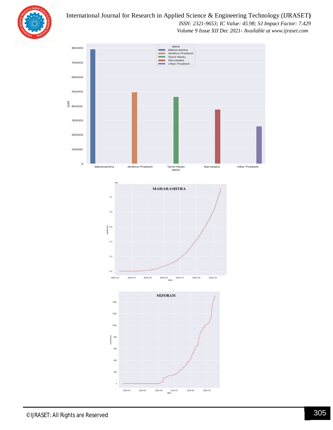

#### International Journal for Research in Applied Science & Engineering Technology (IJRASET**)**  *ISSN: 2321-9653; IC Value: 45.98; SJ Impact Factor: 7.429*

 *Volume 9 Issue XII Dec 2021- Available at www.ijraset.com*

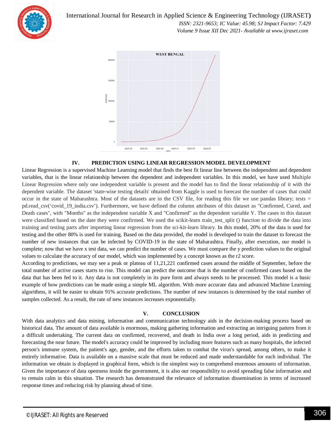

International Journal for Research in Applied Science & Engineering Technology (IJRASET**)**  *ISSN: 2321-9653; IC Value: 45.98; SJ Impact Factor: 7.429 Volume 9 Issue XII Dec 2021- Available at www.ijraset.com*



#### **IV. PREDICTION USING LINEAR REGRESSION MODEL DEVELOPMENT**

Linear Regression is a supervised Machine Learning model that finds the best fit linear line between the independent and dependent variables, that is the linear relationship between the dependent and independent variables. In this model, we have used Multiple Linear Regression where only one independent variable is present and the model has to find the linear relationship of it with the dependent variable. The dataset 'state-wise testing details' obtained from Kaggle is used to forecast the number of cases that could occur in the state of Maharashtra. Most of the datasets are in the CSV file, for reading this file we use pandas library; tests = pd.read\_csv('covid\_19\_india.csv'). Furthermore, we have defined the column attributes of this dataset as "Confirmed, Cured, and Death cases", with "Months" as the independent variable X and "Confirmed" as the dependent variable Y. The cases in this dataset were classified based on the date they were confirmed. We used the scikit-learn train\_test\_split () function to divide the data into training and testing parts after importing linear regression from the sci-kit-learn library. In this model, 20% of the data is used for testing and the other 80% is used for training. Based on the data provided, the model is developed to train the dataset to forecast the number of new instances that can be infected by COVID-19 in the state of Maharashtra. Finally, after execution, our model is complete; now that we have x test data, we can predict the number of cases. We must compare the y prediction values to the original values to calculate the accuracy of our model, which was implemented by a concept known as the r2 score.

According to predictions, we may see a peak or plateau of 11,21,221 confirmed cases around the middle of September, before the total number of active cases starts to rise. This model can predict the outcome that is the number of confirmed cases based on the data that has been fed to it. Any data is not completely in its pure form and always needs to be processed. This model is a basic example of how predictions can be made using a simple ML algorithm. With more accurate data and advanced Machine Learning algorithms, it will be easier to obtain 91% accurate predictions. The number of new instances is determined by the total number of samples collected. As a result, the rate of new instances increases exponentially.

#### **V. CONCLUSION**

With data analytics and data mining, information and communication technology aids in the decision-making process based on historical data. The amount of data available is enormous, making gathering information and extracting an intriguing pattern from it a difficult undertaking. The current data on confirmed, recovered, and death in India over a long period, aids in predicting and forecasting the near future. The model's accuracy could be improved by including more features such as many hospitals, the infected person's immune system, the patient's age, gender, and the efforts taken to combat the virus's spread, among others, to make it entirely informative. Data is available on a massive scale that must be reduced and made understandable for each individual. The information we obtain is displayed in graphical form, which is the simplest way to comprehend enormous amounts of information. Given the importance of data openness inside the government, it is also our responsibility to avoid spreading false information and to remain calm in this situation. The research has demonstrated the relevance of information dissemination in terms of increased response times and reducing risk by planning ahead of time.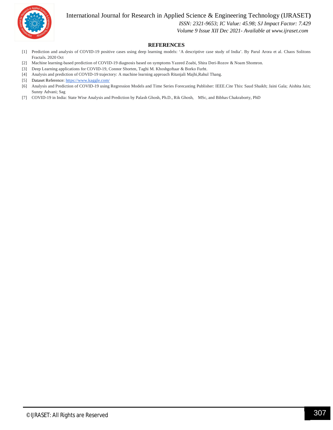

#### International Journal for Research in Applied Science & Engineering Technology (IJRASET**)**

 *ISSN: 2321-9653; IC Value: 45.98; SJ Impact Factor: 7.429*

 *Volume 9 Issue XII Dec 2021- Available at www.ijraset.com*

#### **REFERENCES**

- [1] Prediction and analysis of COVID-19 positive cases using deep learning models: 'A descriptive case study of India'. By Parul Arora et al. Chaos Solitons Fractals. 2020 Oct
- [2] Machine learning-based prediction of COVID-19 diagnosis based on symptoms Yazeed Zoabi, Shira Deri-Rozov & Noam Shomron.
- [3] Deep Learning applications for COVID-19, Connor Shorten, Taghi M. Khoshgoftaar & Borko Furht.
- [4] Analysis and prediction of COVID-19 trajectory: A machine learning approach Ritanjali Majhi,Rahul Thang.
- [5] Dataset Reference: https://www.kaggle.com/
- [6] Analysis and Prediction of COVID-19 using Regression Models and Time Series Forecasting Publisher: IEEE.Cite This: Saud Shaikh; Jaini Gala; Aishita Jain; Sunny Advani; Sag
- [7] COVID-19 in India: State Wise Analysis and Prediction by Palash Ghosh, Ph.D., Rik Ghosh, MSc, and Bibhas Chakraborty, PhD